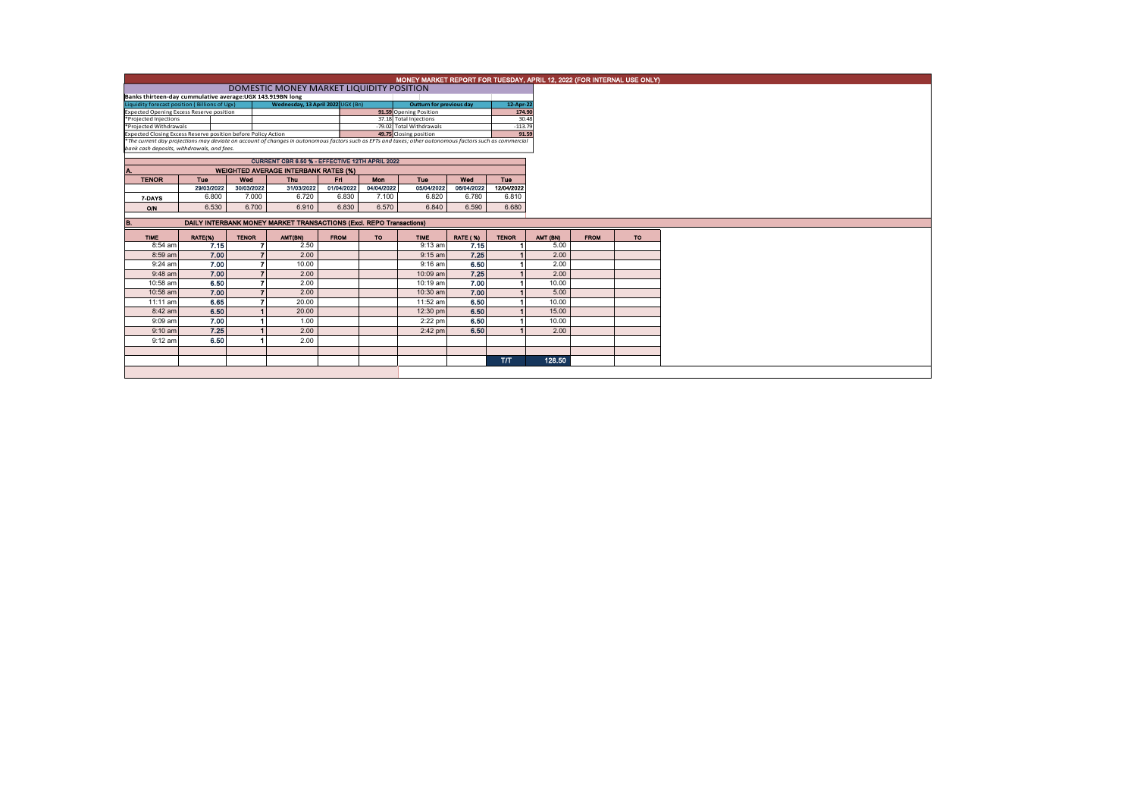|                                                                    | MONEY MARKET REPORT FOR TUESDAY, APRIL 12, 2022 (FOR INTERNAL USE ONLY)                                                            |              |                                                                                                                                                          |                |                          |                        |                 |              |          |             |           |  |  |
|--------------------------------------------------------------------|------------------------------------------------------------------------------------------------------------------------------------|--------------|----------------------------------------------------------------------------------------------------------------------------------------------------------|----------------|--------------------------|------------------------|-----------------|--------------|----------|-------------|-----------|--|--|
|                                                                    |                                                                                                                                    |              |                                                                                                                                                          |                |                          |                        |                 |              |          |             |           |  |  |
| Banks thirteen-day cummulative average: UGX 143.919BN long         |                                                                                                                                    |              |                                                                                                                                                          |                |                          |                        |                 |              |          |             |           |  |  |
|                                                                    | Liquidity forecast position (Billions of Ugx)<br>Wednesday, 13 April 2022 UGX (Bn)<br><b>Outturn for previous day</b><br>12-Apr-22 |              |                                                                                                                                                          |                |                          |                        |                 |              |          |             |           |  |  |
| Expected Opening Excess Reserve position<br>91.59 Opening Position |                                                                                                                                    |              |                                                                                                                                                          |                |                          |                        |                 | 174.90       |          |             |           |  |  |
| *Projected Injections                                              |                                                                                                                                    |              |                                                                                                                                                          |                |                          | 37.18 Total Injections |                 |              | 30.48    |             |           |  |  |
| *Projected Withdrawals                                             |                                                                                                                                    |              |                                                                                                                                                          |                | -79.02 Total Withdrawals |                        | $-113.79$       |              |          |             |           |  |  |
| Expected Closing Excess Reserve position before Policy Action      |                                                                                                                                    |              | *The current day projections may deviate on account of changes in autonomous factors such as EFTs and taxes; other autonomous factors such as commercial |                | 49.75 Closing position   |                        |                 | 91.59        |          |             |           |  |  |
| bank cash deposits, withdrawals, and fees.                         |                                                                                                                                    |              |                                                                                                                                                          |                |                          |                        |                 |              |          |             |           |  |  |
|                                                                    |                                                                                                                                    |              | CURRENT CBR 6.50 % - EFFECTIVE 12TH APRIL 2022                                                                                                           |                |                          |                        |                 |              |          |             |           |  |  |
| Α.                                                                 |                                                                                                                                    |              | <b>WEIGHTED AVERAGE INTERBANK RATES (%)</b>                                                                                                              |                |                          |                        |                 |              |          |             |           |  |  |
| <b>TENOR</b>                                                       | <b>Tue</b>                                                                                                                         | Wed          | <b>Thu</b>                                                                                                                                               | F <sub>1</sub> | <b>Tue</b>               | Wed                    | Tue             |              |          |             |           |  |  |
|                                                                    | 29/03/2022                                                                                                                         | 30/03/2022   | 31/03/2022                                                                                                                                               | 01/04/2022     | 04/04/2022               | 05/04/2022             | 06/04/2022      | 12/04/2022   |          |             |           |  |  |
| 7-DAYS                                                             | 6.800                                                                                                                              | 7.000        | 6.720                                                                                                                                                    | 6.830          | 7.100                    | 6.820                  | 6.780           | 6.810        |          |             |           |  |  |
| O/N                                                                | 6.530                                                                                                                              | 6.700        | 6.910                                                                                                                                                    | 6,830          | 6.570                    | 6.840                  | 6.590           | 6.680        |          |             |           |  |  |
|                                                                    |                                                                                                                                    |              |                                                                                                                                                          |                |                          |                        |                 |              |          |             |           |  |  |
| <b>B.</b>                                                          |                                                                                                                                    |              | DAILY INTERBANK MONEY MARKET TRANSACTIONS (Excl. REPO Transactions)                                                                                      |                |                          |                        |                 |              |          |             |           |  |  |
| <b>TIME</b>                                                        | RATE(%)                                                                                                                            | <b>TENOR</b> | AMT(BN)                                                                                                                                                  | <b>FROM</b>    | <b>TO</b>                | <b>TIME</b>            | <b>RATE (%)</b> | <b>TENOR</b> | AMT (BN) | <b>FROM</b> | <b>TO</b> |  |  |
| 8:54 am                                                            | 7.15                                                                                                                               |              | 2.50                                                                                                                                                     |                |                          | $9:13$ am              | 7.15            |              | 5.00     |             |           |  |  |
| 8:59 am                                                            | 7.00                                                                                                                               |              | 2.00                                                                                                                                                     |                |                          | $9:15$ am              | 7.25            |              | 2.00     |             |           |  |  |
| $9:24$ am                                                          | 7.00                                                                                                                               |              | 10.00                                                                                                                                                    |                |                          | $9:16$ am              | 6.50            |              | 2.00     |             |           |  |  |
| $9:48$ am                                                          | 7.00                                                                                                                               |              | 2.00                                                                                                                                                     |                |                          | 10:09 am               | 7.25            |              | 2.00     |             |           |  |  |
| 10:58 am                                                           | 6.50                                                                                                                               |              | 2.00                                                                                                                                                     |                |                          | 10:19 am               | 7.00            |              | 10.00    |             |           |  |  |
| 10:58 am                                                           | 7.00                                                                                                                               |              | 2.00                                                                                                                                                     |                |                          | 10:30 am               | 7.00            |              | 5.00     |             |           |  |  |
| $11:11$ am                                                         | 6.65                                                                                                                               |              | 20.00                                                                                                                                                    |                |                          | 11:52 am               | 6.50            |              | 10.00    |             |           |  |  |
| 8:42 am                                                            | 6.50                                                                                                                               |              | 20.00                                                                                                                                                    |                |                          | 12:30 pm               | 6.50            |              | 15.00    |             |           |  |  |
| 9:09 am                                                            | 7.00                                                                                                                               |              | 1.00                                                                                                                                                     |                |                          | $2:22$ pm              | 6.50            |              | 10.00    |             |           |  |  |
| $9:10$ am                                                          | 7.25                                                                                                                               |              | 2.00                                                                                                                                                     |                |                          | $2:42$ pm              | 6.50            |              | 2.00     |             |           |  |  |
| $9:12$ am                                                          | 6.50                                                                                                                               |              | 2.00                                                                                                                                                     |                |                          |                        |                 |              |          |             |           |  |  |
|                                                                    |                                                                                                                                    |              |                                                                                                                                                          |                |                          |                        |                 |              |          |             |           |  |  |
|                                                                    |                                                                                                                                    |              |                                                                                                                                                          |                |                          |                        |                 | <b>T/T</b>   | 128.50   |             |           |  |  |
|                                                                    |                                                                                                                                    |              |                                                                                                                                                          |                |                          |                        |                 |              |          |             |           |  |  |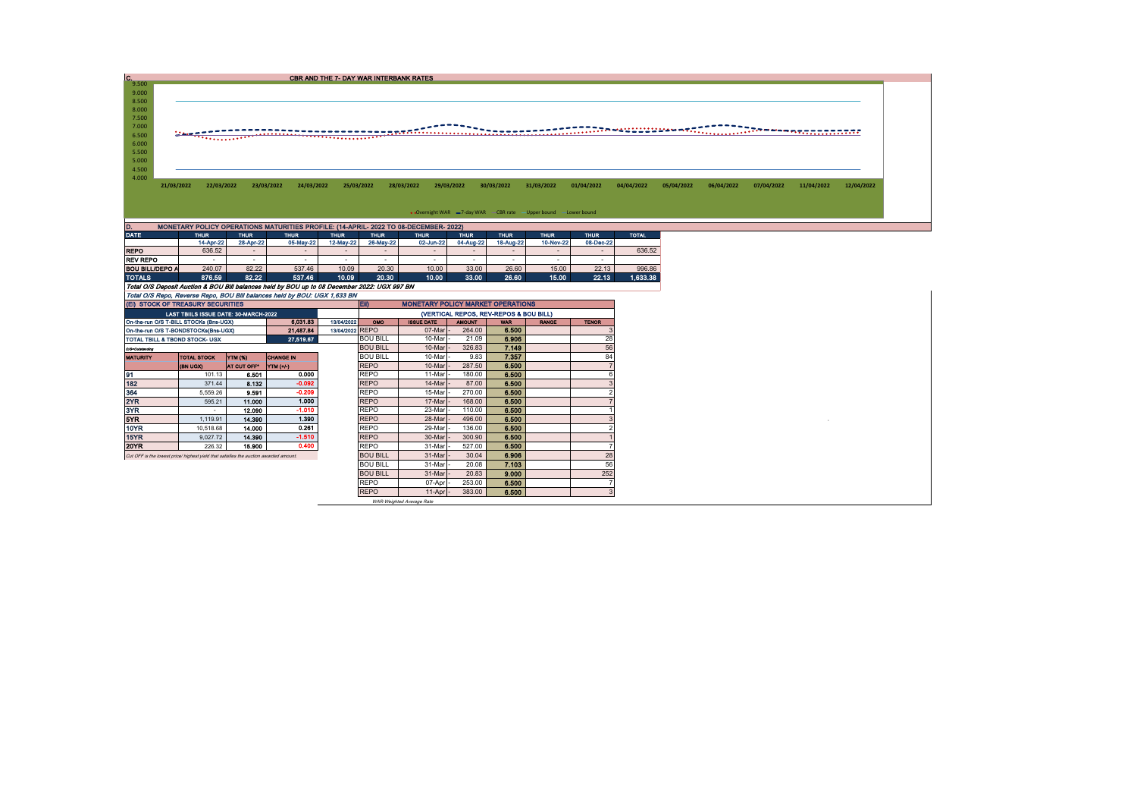| c.                     |                                        |                          |                                                                                       |                                                                                              | CBR AND THE 7- DAY WAR INTERBANK RATES |                                                                                      |                                          |                          |                          |                                                                    |                          |              |            |            |            |            |            |
|------------------------|----------------------------------------|--------------------------|---------------------------------------------------------------------------------------|----------------------------------------------------------------------------------------------|----------------------------------------|--------------------------------------------------------------------------------------|------------------------------------------|--------------------------|--------------------------|--------------------------------------------------------------------|--------------------------|--------------|------------|------------|------------|------------|------------|
| 9.500<br>9.000         |                                        |                          |                                                                                       |                                                                                              |                                        |                                                                                      |                                          |                          |                          |                                                                    |                          |              |            |            |            |            |            |
| 8.500                  |                                        |                          |                                                                                       |                                                                                              |                                        |                                                                                      |                                          |                          |                          |                                                                    |                          |              |            |            |            |            |            |
| 8.000                  |                                        |                          |                                                                                       |                                                                                              |                                        |                                                                                      |                                          |                          |                          |                                                                    |                          |              |            |            |            |            |            |
| 7.500                  |                                        |                          |                                                                                       |                                                                                              |                                        |                                                                                      |                                          |                          |                          |                                                                    |                          |              |            |            |            |            |            |
| 7.000                  |                                        |                          |                                                                                       |                                                                                              |                                        |                                                                                      |                                          |                          |                          |                                                                    |                          |              |            |            |            |            |            |
| 6.500                  |                                        |                          | '*************                                                                        |                                                                                              |                                        |                                                                                      |                                          |                          |                          |                                                                    |                          |              |            |            |            |            |            |
| 6.000                  |                                        |                          |                                                                                       |                                                                                              |                                        |                                                                                      |                                          |                          |                          |                                                                    |                          |              |            |            |            |            |            |
| 5.500                  |                                        |                          |                                                                                       |                                                                                              |                                        |                                                                                      |                                          |                          |                          |                                                                    |                          |              |            |            |            |            |            |
| 5.000                  |                                        |                          |                                                                                       |                                                                                              |                                        |                                                                                      |                                          |                          |                          |                                                                    |                          |              |            |            |            |            |            |
| 4.500                  |                                        |                          |                                                                                       |                                                                                              |                                        |                                                                                      |                                          |                          |                          |                                                                    |                          |              |            |            |            |            |            |
| 4.000                  | 21/03/2022                             | 22/03/2022               |                                                                                       | 24/03/2022<br>23/03/2022                                                                     | 25/03/2022                             |                                                                                      | 28/03/2022                               | 29/03/2022               | 30/03/2022               | 31/03/2022                                                         | 01/04/2022               | 04/04/2022   | 05/04/2022 | 06/04/2022 | 07/04/2022 | 11/04/2022 | 12/04/2022 |
|                        |                                        |                          |                                                                                       |                                                                                              |                                        |                                                                                      |                                          |                          |                          |                                                                    |                          |              |            |            |            |            |            |
|                        |                                        |                          |                                                                                       |                                                                                              |                                        |                                                                                      |                                          |                          |                          |                                                                    |                          |              |            |            |            |            |            |
|                        |                                        |                          |                                                                                       |                                                                                              |                                        |                                                                                      |                                          |                          |                          | • Overnight WAR = 7-day WAR - CBR rate - Upper bound - Lower bound |                          |              |            |            |            |            |            |
|                        |                                        |                          |                                                                                       |                                                                                              |                                        |                                                                                      |                                          |                          |                          |                                                                    |                          |              |            |            |            |            |            |
| D.<br><b>DATE</b>      |                                        |                          |                                                                                       |                                                                                              |                                        | MONETARY POLICY OPERATIONS MATURITIES PROFILE: (14-APRIL- 2022 TO 08-DECEMBER- 2022) |                                          |                          |                          |                                                                    |                          |              |            |            |            |            |            |
|                        |                                        | <b>THUR</b><br>14-Apr-22 | <b>THUR</b><br>28-Apr-22                                                              | <b>THUR</b><br>05-May-22                                                                     | <b>THUR</b><br>12-May-22               | <b>THUR</b><br>26-May-22                                                             | <b>THUR</b><br>02-Jun-22                 | <b>THUR</b><br>04-Aug-22 | <b>THUR</b><br>18-Aug-22 | <b>THUR</b><br>10-Nov-22                                           | <b>THUR</b><br>08-Dec-22 | <b>TOTAL</b> |            |            |            |            |            |
| <b>REPO</b>            |                                        | 636.52                   | $\sim$                                                                                | $\sim$                                                                                       | $\sim$                                 | $\sim$                                                                               | $\sim$                                   | $\sim$                   | $\sim$                   | $\overline{\phantom{a}}$                                           | $\overline{\phantom{a}}$ | 636.52       |            |            |            |            |            |
| <b>REV REPO</b>        |                                        |                          | $\sim$                                                                                | $\sim$                                                                                       | $\sim$                                 | $\sim$                                                                               | $\sim$                                   | $\sim$                   | $\sim$                   | $\sim$                                                             | $\sim$                   |              |            |            |            |            |            |
| <b>BOU BILL/DEPO A</b> |                                        | 240.07                   | 82.22                                                                                 | 537.46                                                                                       | 10.09                                  | 20.30                                                                                | 10.00                                    | 33.00                    | 26.60                    | 15.00                                                              | 22.13                    | 996.86       |            |            |            |            |            |
| <b>TOTALS</b>          |                                        | 876.59                   | 82.22                                                                                 | 537.46                                                                                       | 10.09                                  | 20.30                                                                                | 10.00                                    | 33.00                    | 26.60                    | 15.00                                                              | 22.13                    | 1.633.38     |            |            |            |            |            |
|                        |                                        |                          |                                                                                       | Total O/S Deposit Auction & BOU Bill balances held by BOU up to 08 December 2022: UGX 997 BN |                                        |                                                                                      |                                          |                          |                          |                                                                    |                          |              |            |            |            |            |            |
|                        |                                        |                          |                                                                                       | Total O/S Repo, Reverse Repo, BOU Bill balances held by BOU: UGX 1,633 BN                    |                                        |                                                                                      |                                          |                          |                          |                                                                    |                          |              |            |            |            |            |            |
|                        | (EI) STOCK OF TREASURY SECURITIES      |                          |                                                                                       |                                                                                              |                                        | EII)                                                                                 | <b>MONETARY POLICY MARKET OPERATIONS</b> |                          |                          |                                                                    |                          |              |            |            |            |            |            |
|                        |                                        |                          | LAST TBIILS ISSUE DATE: 30-MARCH-2022                                                 |                                                                                              |                                        | (VERTICAL REPOS, REV-REPOS & BOU BILL)                                               |                                          |                          |                          |                                                                    |                          |              |            |            |            |            |            |
|                        | On-the-run O/S T-BILL STOCKs (Bns-UGX) |                          |                                                                                       | 6,031.83                                                                                     | 13/04/2022                             | OMO                                                                                  | <b>ISSUE DATE</b>                        | <b>AMOUNT</b>            | <b>WAR</b>               | <b>RANGE</b>                                                       | <b>TENOR</b>             |              |            |            |            |            |            |
|                        | On-the-run O/S T-BONDSTOCKs(Bns-UGX)   |                          |                                                                                       | 21,487.84                                                                                    | 13/04/2022 REPO                        |                                                                                      | 07-Mar                                   | 264.00                   | 6.500                    |                                                                    |                          |              |            |            |            |            |            |
|                        | TOTAL TBILL & TBOND STOCK- UGX         |                          |                                                                                       | 27,519.67                                                                                    |                                        | <b>BOU BILL</b>                                                                      | 10-Mar                                   | 21.09                    | 6.906                    |                                                                    | 28                       |              |            |            |            |            |            |
| O/S=Outstanding        |                                        |                          |                                                                                       |                                                                                              |                                        | <b>BOU BILL</b>                                                                      | 10-Mar                                   | 326.83                   | 7.149                    |                                                                    | 56                       |              |            |            |            |            |            |
| <b>MATURITY</b>        |                                        | <b>TOTAL STOCK</b>       | YTM (%)                                                                               | <b>CHANGE IN</b>                                                                             |                                        | <b>BOU BILL</b><br><b>REPO</b>                                                       | 10-Mar<br>10-Mar                         | 9.83<br>287.50           | 7.357<br>6.500           |                                                                    | 84                       |              |            |            |            |            |            |
| 91                     | (BN UGX)                               | 101.13                   | AT CUT OFF®<br>6.501                                                                  | <b>YTM</b> (+/-)<br>0.000                                                                    |                                        | <b>REPO</b>                                                                          | 11-Mar                                   | 180.00                   | 6.500                    |                                                                    |                          |              |            |            |            |            |            |
| 182                    |                                        | 371.44                   | 8.132                                                                                 | $-0.092$                                                                                     |                                        | <b>REPO</b>                                                                          | 14-Mar                                   | 87.00                    | 6.500                    |                                                                    |                          |              |            |            |            |            |            |
| 364                    |                                        | 5,559.26                 | 9.591                                                                                 | $-0.209$                                                                                     |                                        | <b>REPO</b>                                                                          | 15-Mar                                   | 270.00                   | 6,500                    |                                                                    |                          |              |            |            |            |            |            |
| 2YR                    |                                        | 595.21                   | 11.000                                                                                | 1.000                                                                                        |                                        | <b>REPO</b>                                                                          | 17-Mar                                   | 168.00                   | 6.500                    |                                                                    |                          |              |            |            |            |            |            |
| 3YR                    |                                        |                          | 12.090                                                                                | $-1.010$                                                                                     |                                        | <b>REPO</b>                                                                          | 23-Mar                                   | 110.00                   | 6.500                    |                                                                    |                          |              |            |            |            |            |            |
| 5YR                    |                                        | 1,119.91                 | 14.390                                                                                | 1.390                                                                                        |                                        | <b>REPO</b>                                                                          | 28-Mar                                   | 496.00                   | 6.500                    |                                                                    |                          |              |            |            |            |            |            |
| <b>10YR</b>            |                                        | 10.518.68                | 14.000                                                                                | 0.261                                                                                        |                                        | <b>REPO</b>                                                                          | 29-Mar                                   | 136.00                   | 6.500                    |                                                                    |                          |              |            |            |            |            |            |
| 15YR                   |                                        | 9,027.72                 | 14.390                                                                                | $-1.510$                                                                                     |                                        | <b>REPO</b>                                                                          | 30-Mar                                   | 300.90                   | 6,500                    |                                                                    |                          |              |            |            |            |            |            |
| <b>20YR</b>            |                                        | 226.32                   | 15.900                                                                                | 0.400                                                                                        |                                        | <b>REPO</b>                                                                          | 31-Mar                                   | 527.00                   | 6.500                    |                                                                    |                          |              |            |            |            |            |            |
|                        |                                        |                          | Cut OFF is the lowest price/ highest yield that satisfies the auction awarded amount. |                                                                                              |                                        | <b>BOU BILL</b>                                                                      | 31-Mar                                   | 30.04                    | 6.906                    |                                                                    | 28                       |              |            |            |            |            |            |
|                        |                                        |                          |                                                                                       |                                                                                              |                                        | <b>BOU BILL</b>                                                                      | 31-Mar                                   | 20.08                    | 7.103                    |                                                                    | 56                       |              |            |            |            |            |            |

800 BILL 31-Mar - 20.08 7.103 56<br>BOU BILL 31-Mar - 20.83 9.000 252

07-Apr - 253.00 6.500 7<br>11-Apr - 383.00 6.500 3

BOU BILL 31-Mar - 20.83 9.000<br>REPO 07-Apr - 253.00 6.500

REPO

WAR-Weighted Average Rate